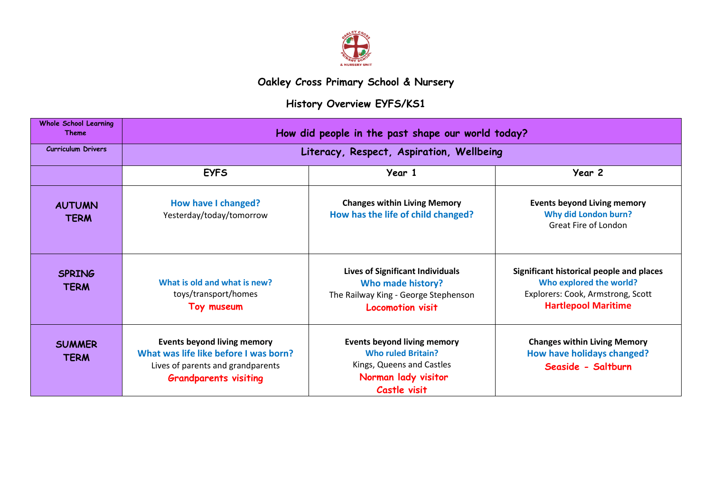

# **Oakley Cross Primary School & Nursery**

## **History Overview EYFS/KS1**

| <b>Whole School Learning</b><br><b>Theme</b> | How did people in the past shape our world today?                                                                                                |                                                                                                                                     |                                                                                                                                        |  |  |  |
|----------------------------------------------|--------------------------------------------------------------------------------------------------------------------------------------------------|-------------------------------------------------------------------------------------------------------------------------------------|----------------------------------------------------------------------------------------------------------------------------------------|--|--|--|
| <b>Curriculum Drivers</b>                    | Literacy, Respect, Aspiration, Wellbeing                                                                                                         |                                                                                                                                     |                                                                                                                                        |  |  |  |
|                                              | <b>EYFS</b>                                                                                                                                      | Year 1                                                                                                                              | Year 2                                                                                                                                 |  |  |  |
| <b>AUTUMN</b><br><b>TERM</b>                 | <b>How have I changed?</b><br>Yesterday/today/tomorrow                                                                                           | <b>Changes within Living Memory</b><br>How has the life of child changed?                                                           | <b>Events beyond Living memory</b><br>Why did London burn?<br>Great Fire of London                                                     |  |  |  |
| <b>SPRING</b><br><b>TERM</b>                 | What is old and what is new?<br>toys/transport/homes<br>Toy museum                                                                               | Lives of Significant Individuals<br>Who made history?<br>The Railway King - George Stephenson<br><b>Locomotion visit</b>            | Significant historical people and places<br>Who explored the world?<br>Explorers: Cook, Armstrong, Scott<br><b>Hartlepool Maritime</b> |  |  |  |
| <b>SUMMER</b><br><b>TERM</b>                 | <b>Events beyond living memory</b><br>What was life like before I was born?<br>Lives of parents and grandparents<br><b>Grandparents visiting</b> | <b>Events beyond living memory</b><br><b>Who ruled Britain?</b><br>Kings, Queens and Castles<br>Norman lady visitor<br>Castle visit | <b>Changes within Living Memory</b><br>How have holidays changed?<br>Seaside - Saltburn                                                |  |  |  |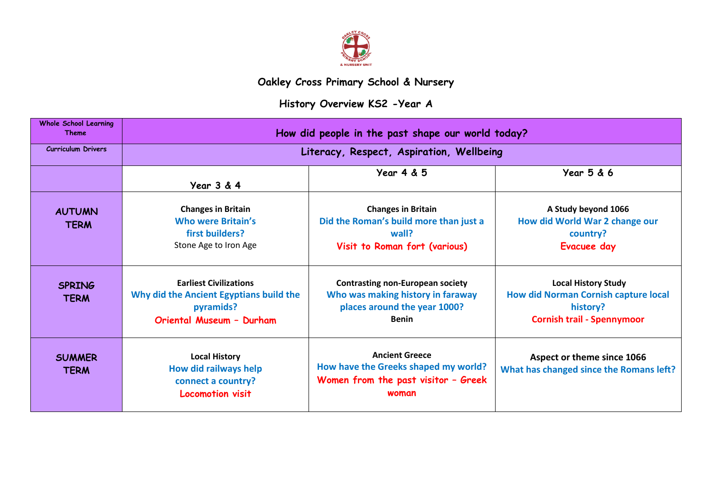

## **Oakley Cross Primary School & Nursery**

## **History Overview KS2 -Year A**

| <b>Whole School Learning</b><br><b>Theme</b> | How did people in the past shape our world today?                                                                 |                                                                                                                              |                                                                                                                            |  |  |  |
|----------------------------------------------|-------------------------------------------------------------------------------------------------------------------|------------------------------------------------------------------------------------------------------------------------------|----------------------------------------------------------------------------------------------------------------------------|--|--|--|
| <b>Curriculum Drivers</b>                    | Literacy, Respect, Aspiration, Wellbeing                                                                          |                                                                                                                              |                                                                                                                            |  |  |  |
|                                              | Year 3 & 4                                                                                                        | <b>Year 4 &amp; 5</b>                                                                                                        | Year 5 & 6                                                                                                                 |  |  |  |
| <b>AUTUMN</b><br><b>TERM</b>                 | <b>Changes in Britain</b><br><b>Who were Britain's</b><br>first builders?<br>Stone Age to Iron Age                | <b>Changes in Britain</b><br>Did the Roman's build more than just a<br>wall?<br>Visit to Roman fort (various)                | A Study beyond 1066<br>How did World War 2 change our<br>country?<br>Evacuee day                                           |  |  |  |
| <b>SPRING</b><br><b>TERM</b>                 | <b>Earliest Civilizations</b><br>Why did the Ancient Egyptians build the<br>pyramids?<br>Oriental Museum - Durham | <b>Contrasting non-European society</b><br>Who was making history in faraway<br>places around the year 1000?<br><b>Benin</b> | <b>Local History Study</b><br><b>How did Norman Cornish capture local</b><br>history?<br><b>Cornish trail - Spennymoor</b> |  |  |  |
| <b>SUMMER</b><br><b>TERM</b>                 | <b>Local History</b><br>How did railways help<br>connect a country?<br><b>Locomotion visit</b>                    | <b>Ancient Greece</b><br>How have the Greeks shaped my world?<br>Women from the past visitor - Greek<br>woman                | Aspect or theme since 1066<br>What has changed since the Romans left?                                                      |  |  |  |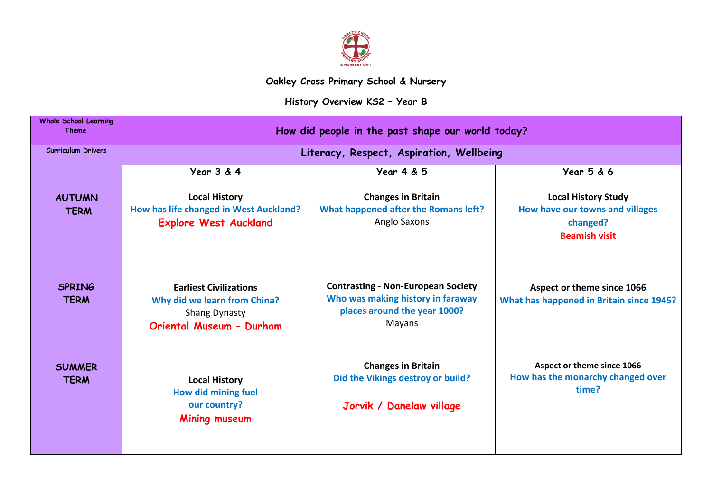

## **Oakley Cross Primary School & Nursery**

## **History Overview KS2 – Year B**

| <b>Whole School Learning</b><br><b>Theme</b> | How did people in the past shape our world today?                                                                 |                                                                                                                          |                                                                                                   |  |  |  |
|----------------------------------------------|-------------------------------------------------------------------------------------------------------------------|--------------------------------------------------------------------------------------------------------------------------|---------------------------------------------------------------------------------------------------|--|--|--|
| <b>Curriculum Drivers</b>                    | Literacy, Respect, Aspiration, Wellbeing                                                                          |                                                                                                                          |                                                                                                   |  |  |  |
|                                              | Year 3 & 4                                                                                                        | Year 4 & 5                                                                                                               | Year 5 & 6                                                                                        |  |  |  |
| <b>AUTUMN</b><br><b>TERM</b>                 | <b>Local History</b><br>How has life changed in West Auckland?<br><b>Explore West Auckland</b>                    | <b>Changes in Britain</b><br><b>What happened after the Romans left?</b><br>Anglo Saxons                                 | <b>Local History Study</b><br>How have our towns and villages<br>changed?<br><b>Beamish visit</b> |  |  |  |
| <b>SPRING</b><br><b>TERM</b>                 | <b>Earliest Civilizations</b><br>Why did we learn from China?<br><b>Shang Dynasty</b><br>Oriental Museum - Durham | <b>Contrasting - Non-European Society</b><br>Who was making history in faraway<br>places around the year 1000?<br>Mayans | Aspect or theme since 1066<br>What has happened in Britain since 1945?                            |  |  |  |
| <b>SUMMER</b><br><b>TERM</b>                 | <b>Local History</b><br>How did mining fuel<br>our country?<br><b>Mining museum</b>                               | <b>Changes in Britain</b><br>Did the Vikings destroy or build?<br>Jorvik / Danelaw village                               | Aspect or theme since 1066<br>How has the monarchy changed over<br>time?                          |  |  |  |